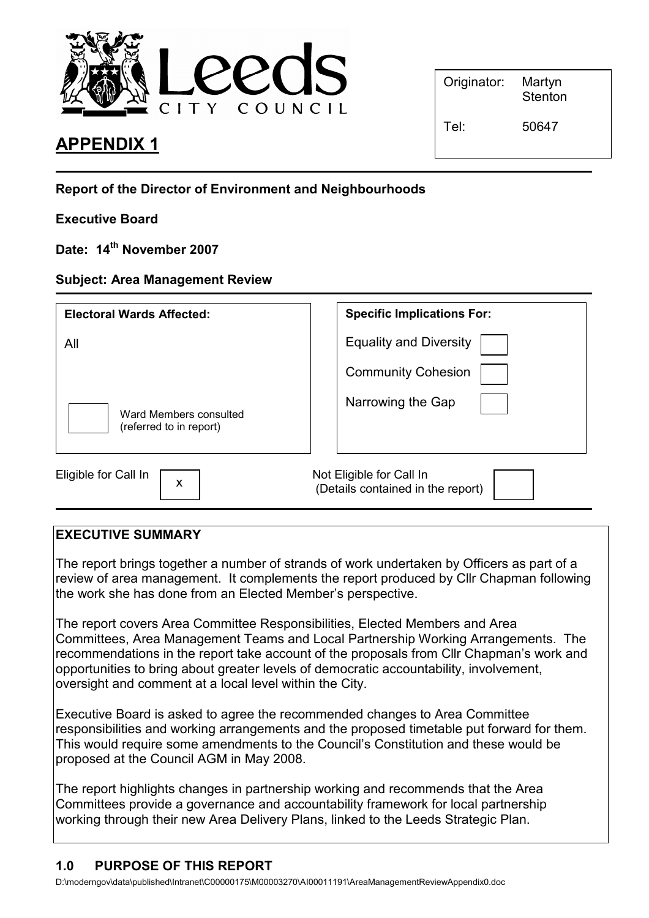

# APPENDIX 1

| Originator: | Martyn<br>Stenton |
|-------------|-------------------|
|             |                   |

Report of the Director of Environment and Neighbourhoods

## Executive Board

Date: 14<sup>th</sup> November 2007

#### Subject: Area Management Review

| <b>Electoral Wards Affected:</b>                  | <b>Specific Implications For:</b>                             |
|---------------------------------------------------|---------------------------------------------------------------|
| All                                               | <b>Equality and Diversity</b>                                 |
|                                                   | <b>Community Cohesion</b>                                     |
| Ward Members consulted<br>(referred to in report) | Narrowing the Gap                                             |
| Eligible for Call In<br>X                         | Not Eligible for Call In<br>(Details contained in the report) |

## EXECUTIVE SUMMARY

The report brings together a number of strands of work undertaken by Officers as part of a review of area management. It complements the report produced by Cllr Chapman following the work she has done from an Elected Member's perspective.

The report covers Area Committee Responsibilities, Elected Members and Area Committees, Area Management Teams and Local Partnership Working Arrangements. The recommendations in the report take account of the proposals from Cllr Chapman's work and opportunities to bring about greater levels of democratic accountability, involvement, oversight and comment at a local level within the City.

Executive Board is asked to agree the recommended changes to Area Committee responsibilities and working arrangements and the proposed timetable put forward for them. This would require some amendments to the Council's Constitution and these would be proposed at the Council AGM in May 2008.

The report highlights changes in partnership working and recommends that the Area Committees provide a governance and accountability framework for local partnership working through their new Area Delivery Plans, linked to the Leeds Strategic Plan.

#### 1.0 PURPOSE OF THIS REPORT

D:\moderngov\data\published\Intranet\C00000175\M00003270\AI00011191\AreaManagementReviewAppendix0.doc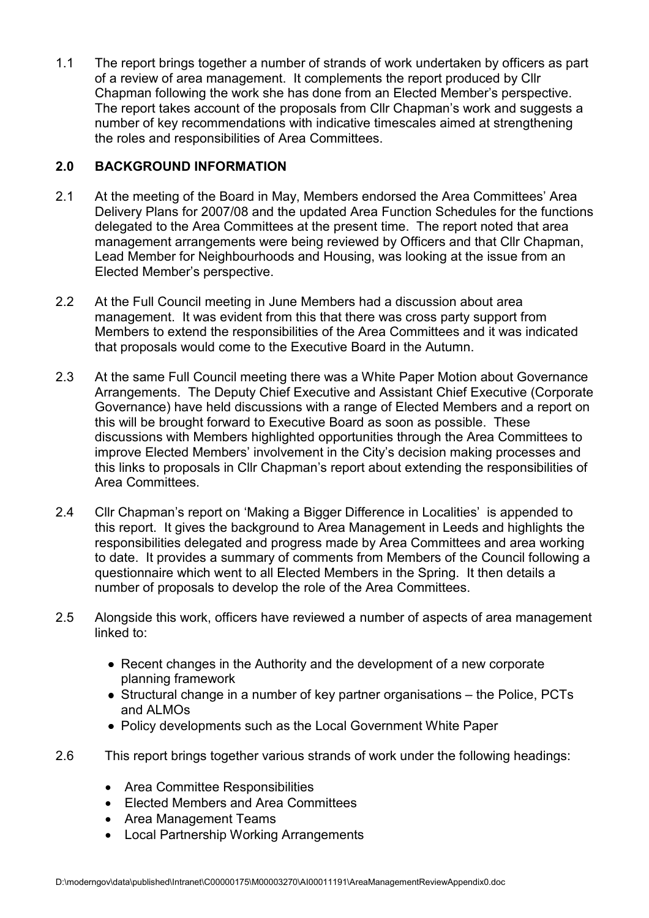1.1 The report brings together a number of strands of work undertaken by officers as part of a review of area management. It complements the report produced by Cllr Chapman following the work she has done from an Elected Member's perspective. The report takes account of the proposals from Cllr Chapman's work and suggests a number of key recommendations with indicative timescales aimed at strengthening the roles and responsibilities of Area Committees.

## 2.0 BACKGROUND INFORMATION

- 2.1 At the meeting of the Board in May, Members endorsed the Area Committees' Area Delivery Plans for 2007/08 and the updated Area Function Schedules for the functions delegated to the Area Committees at the present time. The report noted that area management arrangements were being reviewed by Officers and that Cllr Chapman, Lead Member for Neighbourhoods and Housing, was looking at the issue from an Elected Member's perspective.
- 2.2 At the Full Council meeting in June Members had a discussion about area management. It was evident from this that there was cross party support from Members to extend the responsibilities of the Area Committees and it was indicated that proposals would come to the Executive Board in the Autumn.
- 2.3 At the same Full Council meeting there was a White Paper Motion about Governance Arrangements. The Deputy Chief Executive and Assistant Chief Executive (Corporate Governance) have held discussions with a range of Elected Members and a report on this will be brought forward to Executive Board as soon as possible. These discussions with Members highlighted opportunities through the Area Committees to improve Elected Members' involvement in the City's decision making processes and this links to proposals in Cllr Chapman's report about extending the responsibilities of Area Committees.
- 2.4 Cllr Chapman's report on 'Making a Bigger Difference in Localities' is appended to this report. It gives the background to Area Management in Leeds and highlights the responsibilities delegated and progress made by Area Committees and area working to date. It provides a summary of comments from Members of the Council following a questionnaire which went to all Elected Members in the Spring. It then details a number of proposals to develop the role of the Area Committees.
- 2.5 Alongside this work, officers have reviewed a number of aspects of area management linked to:
	- Recent changes in the Authority and the development of a new corporate planning framework
	- Structural change in a number of key partner organisations the Police, PCTs and ALMOs
	- Policy developments such as the Local Government White Paper
- 2.6 This report brings together various strands of work under the following headings:
	- Area Committee Responsibilities
	- Elected Members and Area Committees
	- Area Management Teams
	- Local Partnership Working Arrangements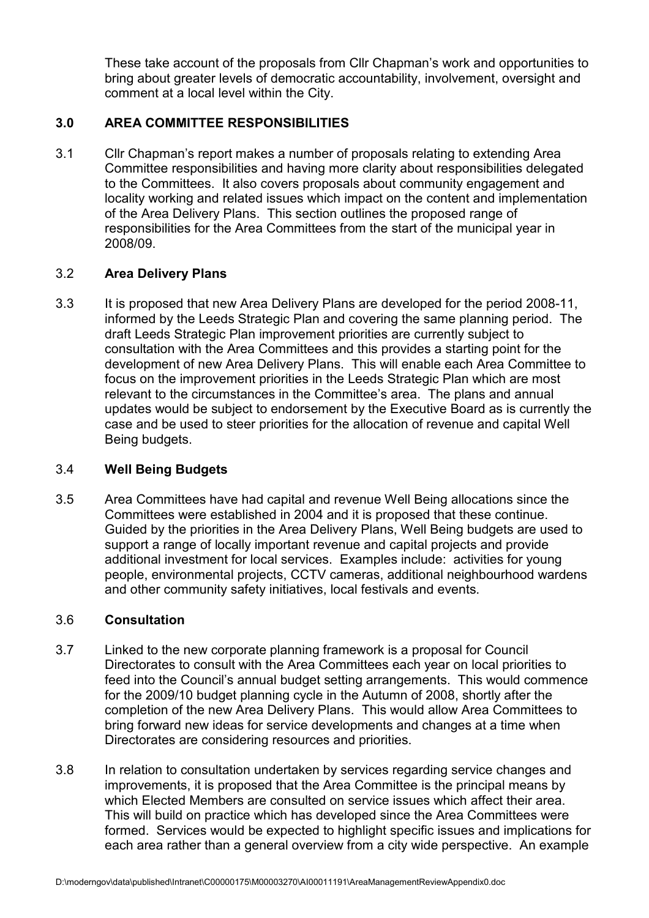These take account of the proposals from Cllr Chapman's work and opportunities to bring about greater levels of democratic accountability, involvement, oversight and comment at a local level within the City.

## 3.0 AREA COMMITTEE RESPONSIBILITIES

3.1 Cllr Chapman's report makes a number of proposals relating to extending Area Committee responsibilities and having more clarity about responsibilities delegated to the Committees. It also covers proposals about community engagement and locality working and related issues which impact on the content and implementation of the Area Delivery Plans. This section outlines the proposed range of responsibilities for the Area Committees from the start of the municipal year in 2008/09.

## 3.2 Area Delivery Plans

3.3 It is proposed that new Area Delivery Plans are developed for the period 2008-11, informed by the Leeds Strategic Plan and covering the same planning period. The draft Leeds Strategic Plan improvement priorities are currently subject to consultation with the Area Committees and this provides a starting point for the development of new Area Delivery Plans. This will enable each Area Committee to focus on the improvement priorities in the Leeds Strategic Plan which are most relevant to the circumstances in the Committee's area. The plans and annual updates would be subject to endorsement by the Executive Board as is currently the case and be used to steer priorities for the allocation of revenue and capital Well Being budgets.

#### 3.4 Well Being Budgets

3.5 Area Committees have had capital and revenue Well Being allocations since the Committees were established in 2004 and it is proposed that these continue. Guided by the priorities in the Area Delivery Plans, Well Being budgets are used to support a range of locally important revenue and capital projects and provide additional investment for local services. Examples include: activities for young people, environmental projects, CCTV cameras, additional neighbourhood wardens and other community safety initiatives, local festivals and events.

#### 3.6 Consultation

- 3.7 Linked to the new corporate planning framework is a proposal for Council Directorates to consult with the Area Committees each year on local priorities to feed into the Council's annual budget setting arrangements. This would commence for the 2009/10 budget planning cycle in the Autumn of 2008, shortly after the completion of the new Area Delivery Plans. This would allow Area Committees to bring forward new ideas for service developments and changes at a time when Directorates are considering resources and priorities.
- 3.8 In relation to consultation undertaken by services regarding service changes and improvements, it is proposed that the Area Committee is the principal means by which Elected Members are consulted on service issues which affect their area. This will build on practice which has developed since the Area Committees were formed. Services would be expected to highlight specific issues and implications for each area rather than a general overview from a city wide perspective. An example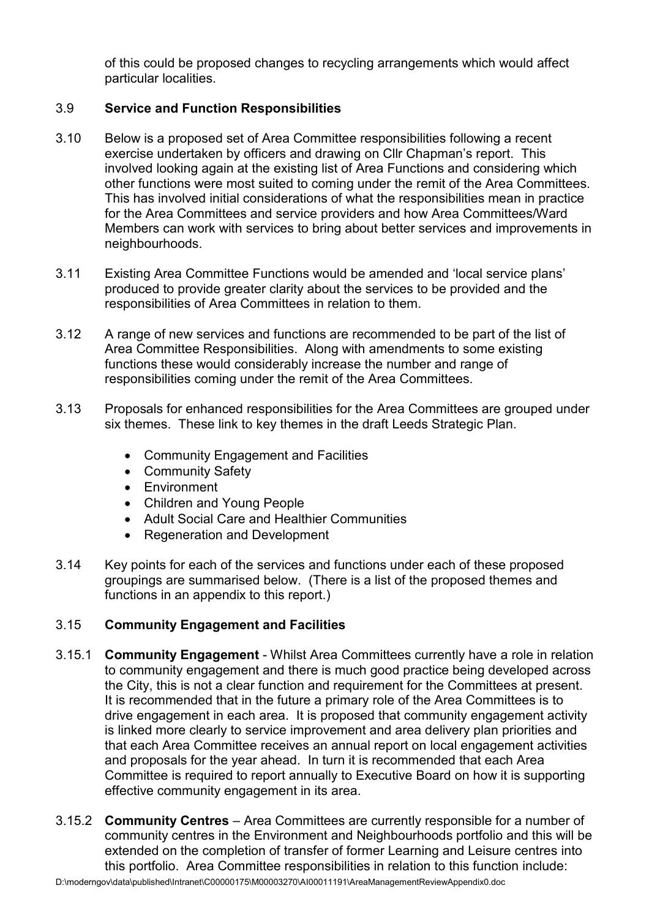of this could be proposed changes to recycling arrangements which would affect particular localities.

## 3.9 Service and Function Responsibilities

- 3.10 Below is a proposed set of Area Committee responsibilities following a recent exercise undertaken by officers and drawing on Cllr Chapman's report. This involved looking again at the existing list of Area Functions and considering which other functions were most suited to coming under the remit of the Area Committees. This has involved initial considerations of what the responsibilities mean in practice for the Area Committees and service providers and how Area Committees/Ward Members can work with services to bring about better services and improvements in neighbourhoods.
- 3.11 Existing Area Committee Functions would be amended and 'local service plans' produced to provide greater clarity about the services to be provided and the responsibilities of Area Committees in relation to them.
- 3.12 A range of new services and functions are recommended to be part of the list of Area Committee Responsibilities. Along with amendments to some existing functions these would considerably increase the number and range of responsibilities coming under the remit of the Area Committees.
- 3.13 Proposals for enhanced responsibilities for the Area Committees are grouped under six themes. These link to key themes in the draft Leeds Strategic Plan.
	- Community Engagement and Facilities
	- Community Safety
	- Environment
	- Children and Young People
	- Adult Social Care and Healthier Communities
	- Regeneration and Development
- 3.14 Key points for each of the services and functions under each of these proposed groupings are summarised below. (There is a list of the proposed themes and functions in an appendix to this report.)

## 3.15 Community Engagement and Facilities

- 3.15.1 Community Engagement Whilst Area Committees currently have a role in relation to community engagement and there is much good practice being developed across the City, this is not a clear function and requirement for the Committees at present. It is recommended that in the future a primary role of the Area Committees is to drive engagement in each area. It is proposed that community engagement activity is linked more clearly to service improvement and area delivery plan priorities and that each Area Committee receives an annual report on local engagement activities and proposals for the year ahead. In turn it is recommended that each Area Committee is required to report annually to Executive Board on how it is supporting effective community engagement in its area.
- 3.15.2 Community Centres Area Committees are currently responsible for a number of community centres in the Environment and Neighbourhoods portfolio and this will be extended on the completion of transfer of former Learning and Leisure centres into this portfolio. Area Committee responsibilities in relation to this function include: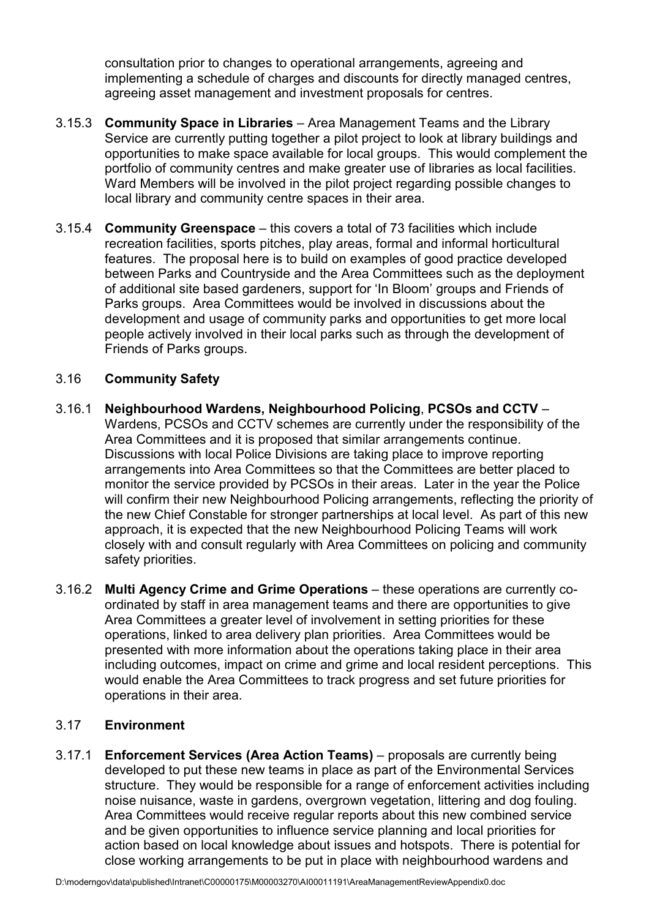consultation prior to changes to operational arrangements, agreeing and implementing a schedule of charges and discounts for directly managed centres, agreeing asset management and investment proposals for centres.

- 3.15.3 Community Space in Libraries Area Management Teams and the Library Service are currently putting together a pilot project to look at library buildings and opportunities to make space available for local groups. This would complement the portfolio of community centres and make greater use of libraries as local facilities. Ward Members will be involved in the pilot project regarding possible changes to local library and community centre spaces in their area.
- 3.15.4 Community Greenspace this covers a total of 73 facilities which include recreation facilities, sports pitches, play areas, formal and informal horticultural features. The proposal here is to build on examples of good practice developed between Parks and Countryside and the Area Committees such as the deployment of additional site based gardeners, support for 'In Bloom' groups and Friends of Parks groups. Area Committees would be involved in discussions about the development and usage of community parks and opportunities to get more local people actively involved in their local parks such as through the development of Friends of Parks groups.

## 3.16 Community Safety

- 3.16.1 Neighbourhood Wardens, Neighbourhood Policing, PCSOs and CCTV Wardens, PCSOs and CCTV schemes are currently under the responsibility of the Area Committees and it is proposed that similar arrangements continue. Discussions with local Police Divisions are taking place to improve reporting arrangements into Area Committees so that the Committees are better placed to monitor the service provided by PCSOs in their areas. Later in the year the Police will confirm their new Neighbourhood Policing arrangements, reflecting the priority of the new Chief Constable for stronger partnerships at local level. As part of this new approach, it is expected that the new Neighbourhood Policing Teams will work closely with and consult regularly with Area Committees on policing and community safety priorities.
- 3.16.2 Multi Agency Crime and Grime Operations these operations are currently coordinated by staff in area management teams and there are opportunities to give Area Committees a greater level of involvement in setting priorities for these operations, linked to area delivery plan priorities. Area Committees would be presented with more information about the operations taking place in their area including outcomes, impact on crime and grime and local resident perceptions. This would enable the Area Committees to track progress and set future priorities for operations in their area.

#### 3.17 Environment

3.17.1 Enforcement Services (Area Action Teams) – proposals are currently being developed to put these new teams in place as part of the Environmental Services structure. They would be responsible for a range of enforcement activities including noise nuisance, waste in gardens, overgrown vegetation, littering and dog fouling. Area Committees would receive regular reports about this new combined service and be given opportunities to influence service planning and local priorities for action based on local knowledge about issues and hotspots. There is potential for close working arrangements to be put in place with neighbourhood wardens and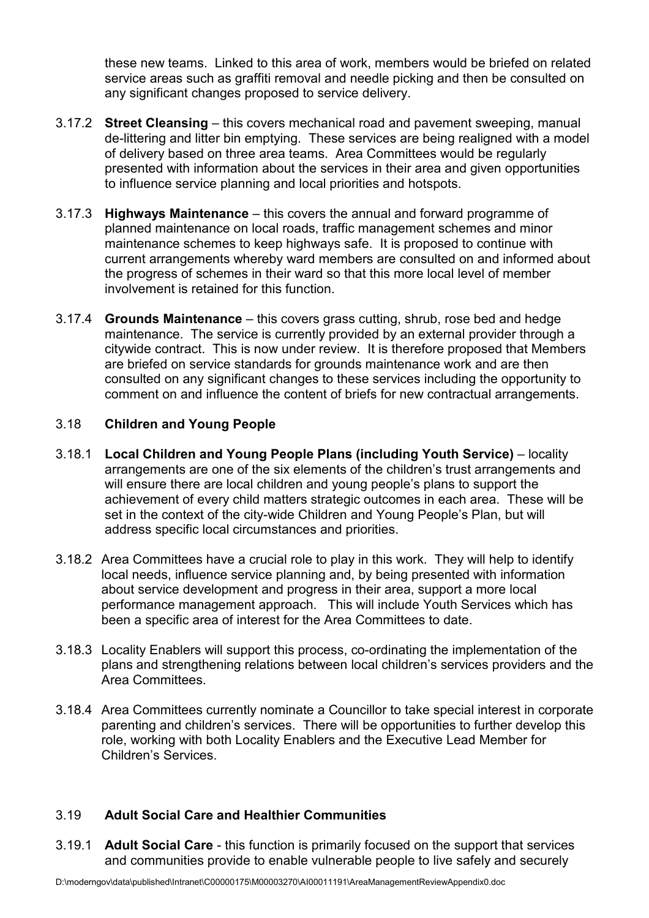these new teams. Linked to this area of work, members would be briefed on related service areas such as graffiti removal and needle picking and then be consulted on any significant changes proposed to service delivery.

- 3.17.2 Street Cleansing this covers mechanical road and pavement sweeping, manual de-littering and litter bin emptying. These services are being realigned with a model of delivery based on three area teams. Area Committees would be regularly presented with information about the services in their area and given opportunities to influence service planning and local priorities and hotspots.
- 3.17.3 Highways Maintenance this covers the annual and forward programme of planned maintenance on local roads, traffic management schemes and minor maintenance schemes to keep highways safe. It is proposed to continue with current arrangements whereby ward members are consulted on and informed about the progress of schemes in their ward so that this more local level of member involvement is retained for this function.
- 3.17.4 Grounds Maintenance this covers grass cutting, shrub, rose bed and hedge maintenance. The service is currently provided by an external provider through a citywide contract. This is now under review. It is therefore proposed that Members are briefed on service standards for grounds maintenance work and are then consulted on any significant changes to these services including the opportunity to comment on and influence the content of briefs for new contractual arrangements.

## 3.18 Children and Young People

- 3.18.1 Local Children and Young People Plans (including Youth Service) locality arrangements are one of the six elements of the children's trust arrangements and will ensure there are local children and young people's plans to support the achievement of every child matters strategic outcomes in each area. These will be set in the context of the city-wide Children and Young People's Plan, but will address specific local circumstances and priorities.
- 3.18.2 Area Committees have a crucial role to play in this work. They will help to identify local needs, influence service planning and, by being presented with information about service development and progress in their area, support a more local performance management approach. This will include Youth Services which has been a specific area of interest for the Area Committees to date.
- 3.18.3 Locality Enablers will support this process, co-ordinating the implementation of the plans and strengthening relations between local children's services providers and the Area Committees.
- 3.18.4 Area Committees currently nominate a Councillor to take special interest in corporate parenting and children's services. There will be opportunities to further develop this role, working with both Locality Enablers and the Executive Lead Member for Children's Services.

## 3.19 Adult Social Care and Healthier Communities

3.19.1 Adult Social Care - this function is primarily focused on the support that services and communities provide to enable vulnerable people to live safely and securely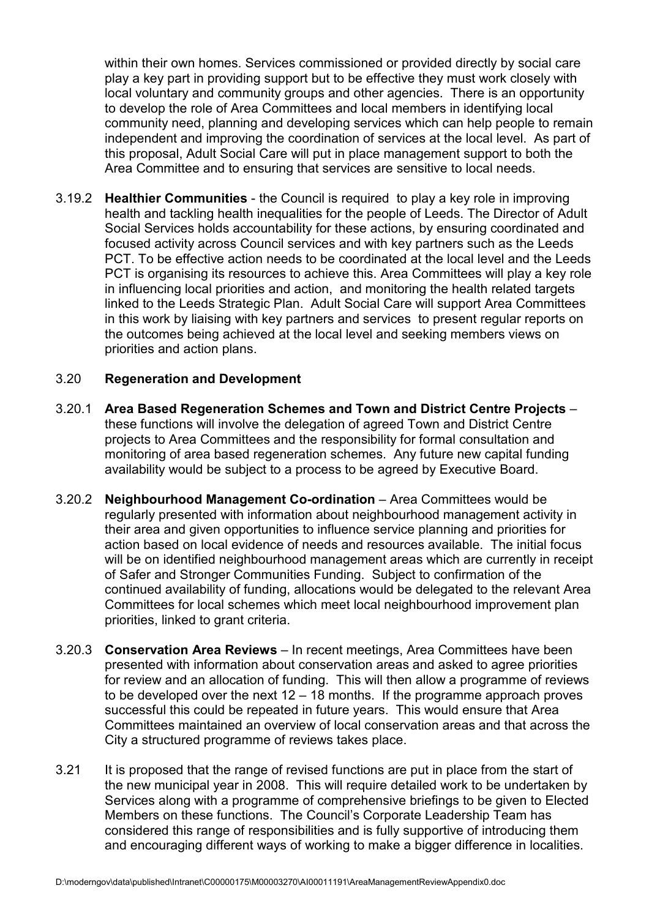within their own homes. Services commissioned or provided directly by social care play a key part in providing support but to be effective they must work closely with local voluntary and community groups and other agencies. There is an opportunity to develop the role of Area Committees and local members in identifying local community need, planning and developing services which can help people to remain independent and improving the coordination of services at the local level. As part of this proposal, Adult Social Care will put in place management support to both the Area Committee and to ensuring that services are sensitive to local needs.

3.19.2 Healthier Communities - the Council is required to play a key role in improving health and tackling health inequalities for the people of Leeds. The Director of Adult Social Services holds accountability for these actions, by ensuring coordinated and focused activity across Council services and with key partners such as the Leeds PCT. To be effective action needs to be coordinated at the local level and the Leeds PCT is organising its resources to achieve this. Area Committees will play a key role in influencing local priorities and action, and monitoring the health related targets linked to the Leeds Strategic Plan. Adult Social Care will support Area Committees in this work by liaising with key partners and services to present regular reports on the outcomes being achieved at the local level and seeking members views on priorities and action plans.

#### 3.20 Regeneration and Development

- 3.20.1 Area Based Regeneration Schemes and Town and District Centre Projects these functions will involve the delegation of agreed Town and District Centre projects to Area Committees and the responsibility for formal consultation and monitoring of area based regeneration schemes. Any future new capital funding availability would be subject to a process to be agreed by Executive Board.
- 3.20.2 Neighbourhood Management Co-ordination Area Committees would be regularly presented with information about neighbourhood management activity in their area and given opportunities to influence service planning and priorities for action based on local evidence of needs and resources available. The initial focus will be on identified neighbourhood management areas which are currently in receipt of Safer and Stronger Communities Funding. Subject to confirmation of the continued availability of funding, allocations would be delegated to the relevant Area Committees for local schemes which meet local neighbourhood improvement plan priorities, linked to grant criteria.
- 3.20.3 Conservation Area Reviews In recent meetings, Area Committees have been presented with information about conservation areas and asked to agree priorities for review and an allocation of funding. This will then allow a programme of reviews to be developed over the next 12 – 18 months. If the programme approach proves successful this could be repeated in future years. This would ensure that Area Committees maintained an overview of local conservation areas and that across the City a structured programme of reviews takes place.
- 3.21 It is proposed that the range of revised functions are put in place from the start of the new municipal year in 2008. This will require detailed work to be undertaken by Services along with a programme of comprehensive briefings to be given to Elected Members on these functions. The Council's Corporate Leadership Team has considered this range of responsibilities and is fully supportive of introducing them and encouraging different ways of working to make a bigger difference in localities.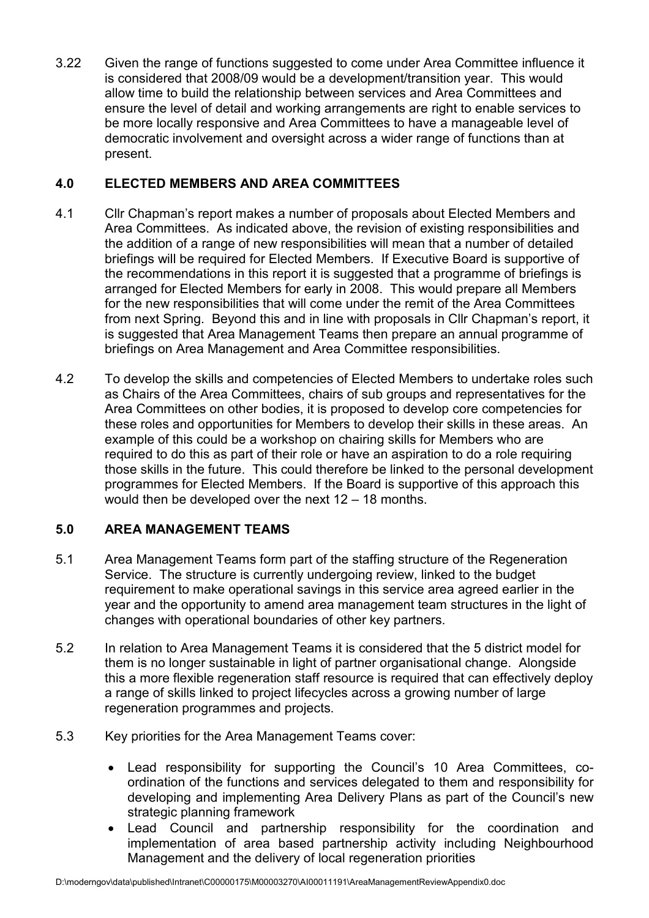3.22 Given the range of functions suggested to come under Area Committee influence it is considered that 2008/09 would be a development/transition year. This would allow time to build the relationship between services and Area Committees and ensure the level of detail and working arrangements are right to enable services to be more locally responsive and Area Committees to have a manageable level of democratic involvement and oversight across a wider range of functions than at present.

## 4.0 ELECTED MEMBERS AND AREA COMMITTEES

- 4.1 Cllr Chapman's report makes a number of proposals about Elected Members and Area Committees. As indicated above, the revision of existing responsibilities and the addition of a range of new responsibilities will mean that a number of detailed briefings will be required for Elected Members. If Executive Board is supportive of the recommendations in this report it is suggested that a programme of briefings is arranged for Elected Members for early in 2008. This would prepare all Members for the new responsibilities that will come under the remit of the Area Committees from next Spring. Beyond this and in line with proposals in Cllr Chapman's report, it is suggested that Area Management Teams then prepare an annual programme of briefings on Area Management and Area Committee responsibilities.
- 4.2 To develop the skills and competencies of Elected Members to undertake roles such as Chairs of the Area Committees, chairs of sub groups and representatives for the Area Committees on other bodies, it is proposed to develop core competencies for these roles and opportunities for Members to develop their skills in these areas. An example of this could be a workshop on chairing skills for Members who are required to do this as part of their role or have an aspiration to do a role requiring those skills in the future. This could therefore be linked to the personal development programmes for Elected Members. If the Board is supportive of this approach this would then be developed over the next 12 – 18 months.

# 5.0 AREA MANAGEMENT TEAMS

- 5.1 Area Management Teams form part of the staffing structure of the Regeneration Service. The structure is currently undergoing review, linked to the budget requirement to make operational savings in this service area agreed earlier in the year and the opportunity to amend area management team structures in the light of changes with operational boundaries of other key partners.
- 5.2 In relation to Area Management Teams it is considered that the 5 district model for them is no longer sustainable in light of partner organisational change. Alongside this a more flexible regeneration staff resource is required that can effectively deploy a range of skills linked to project lifecycles across a growing number of large regeneration programmes and projects.
- 5.3 Key priorities for the Area Management Teams cover:
	- Lead responsibility for supporting the Council's 10 Area Committees, coordination of the functions and services delegated to them and responsibility for developing and implementing Area Delivery Plans as part of the Council's new strategic planning framework
	- Lead Council and partnership responsibility for the coordination and implementation of area based partnership activity including Neighbourhood Management and the delivery of local regeneration priorities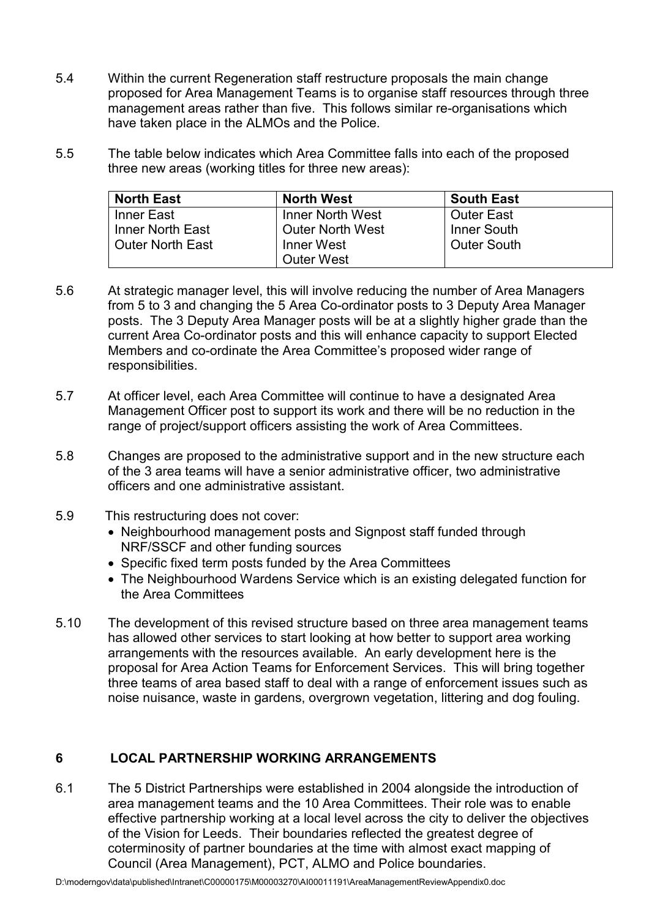- 5.4 Within the current Regeneration staff restructure proposals the main change proposed for Area Management Teams is to organise staff resources through three management areas rather than five. This follows similar re-organisations which have taken place in the ALMOs and the Police.
- 5.5 The table below indicates which Area Committee falls into each of the proposed three new areas (working titles for three new areas):

| <b>North East</b>  | <b>North West</b>       | <b>South East</b>  |
|--------------------|-------------------------|--------------------|
| Inner East         | <b>Inner North West</b> | <b>Outer East</b>  |
| Inner North East   | <b>Outer North West</b> | Inner South        |
| l Outer North East | Inner West              | <b>Outer South</b> |
|                    | <b>Outer West</b>       |                    |

- 5.6 At strategic manager level, this will involve reducing the number of Area Managers from 5 to 3 and changing the 5 Area Co-ordinator posts to 3 Deputy Area Manager posts. The 3 Deputy Area Manager posts will be at a slightly higher grade than the current Area Co-ordinator posts and this will enhance capacity to support Elected Members and co-ordinate the Area Committee's proposed wider range of responsibilities.
- 5.7 At officer level, each Area Committee will continue to have a designated Area Management Officer post to support its work and there will be no reduction in the range of project/support officers assisting the work of Area Committees.
- 5.8 Changes are proposed to the administrative support and in the new structure each of the 3 area teams will have a senior administrative officer, two administrative officers and one administrative assistant.
- 5.9 This restructuring does not cover:
	- Neighbourhood management posts and Signpost staff funded through NRF/SSCF and other funding sources
	- Specific fixed term posts funded by the Area Committees
	- The Neighbourhood Wardens Service which is an existing delegated function for the Area Committees
- 5.10 The development of this revised structure based on three area management teams has allowed other services to start looking at how better to support area working arrangements with the resources available. An early development here is the proposal for Area Action Teams for Enforcement Services. This will bring together three teams of area based staff to deal with a range of enforcement issues such as noise nuisance, waste in gardens, overgrown vegetation, littering and dog fouling.

## 6 LOCAL PARTNERSHIP WORKING ARRANGEMENTS

6.1 The 5 District Partnerships were established in 2004 alongside the introduction of area management teams and the 10 Area Committees. Their role was to enable effective partnership working at a local level across the city to deliver the objectives of the Vision for Leeds. Their boundaries reflected the greatest degree of coterminosity of partner boundaries at the time with almost exact mapping of Council (Area Management), PCT, ALMO and Police boundaries.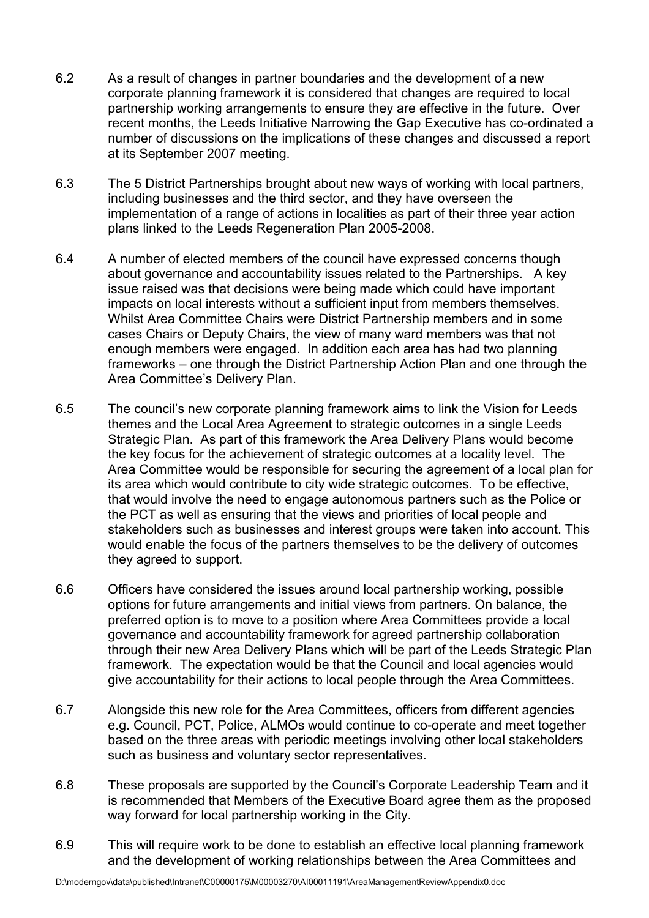- 6.2 As a result of changes in partner boundaries and the development of a new corporate planning framework it is considered that changes are required to local partnership working arrangements to ensure they are effective in the future. Over recent months, the Leeds Initiative Narrowing the Gap Executive has co-ordinated a number of discussions on the implications of these changes and discussed a report at its September 2007 meeting.
- 6.3 The 5 District Partnerships brought about new ways of working with local partners, including businesses and the third sector, and they have overseen the implementation of a range of actions in localities as part of their three year action plans linked to the Leeds Regeneration Plan 2005-2008.
- 6.4 A number of elected members of the council have expressed concerns though about governance and accountability issues related to the Partnerships. A key issue raised was that decisions were being made which could have important impacts on local interests without a sufficient input from members themselves. Whilst Area Committee Chairs were District Partnership members and in some cases Chairs or Deputy Chairs, the view of many ward members was that not enough members were engaged. In addition each area has had two planning frameworks – one through the District Partnership Action Plan and one through the Area Committee's Delivery Plan.
- 6.5 The council's new corporate planning framework aims to link the Vision for Leeds themes and the Local Area Agreement to strategic outcomes in a single Leeds Strategic Plan. As part of this framework the Area Delivery Plans would become the key focus for the achievement of strategic outcomes at a locality level. The Area Committee would be responsible for securing the agreement of a local plan for its area which would contribute to city wide strategic outcomes. To be effective, that would involve the need to engage autonomous partners such as the Police or the PCT as well as ensuring that the views and priorities of local people and stakeholders such as businesses and interest groups were taken into account. This would enable the focus of the partners themselves to be the delivery of outcomes they agreed to support.
- 6.6 Officers have considered the issues around local partnership working, possible options for future arrangements and initial views from partners. On balance, the preferred option is to move to a position where Area Committees provide a local governance and accountability framework for agreed partnership collaboration through their new Area Delivery Plans which will be part of the Leeds Strategic Plan framework. The expectation would be that the Council and local agencies would give accountability for their actions to local people through the Area Committees.
- 6.7 Alongside this new role for the Area Committees, officers from different agencies e.g. Council, PCT, Police, ALMOs would continue to co-operate and meet together based on the three areas with periodic meetings involving other local stakeholders such as business and voluntary sector representatives.
- 6.8 These proposals are supported by the Council's Corporate Leadership Team and it is recommended that Members of the Executive Board agree them as the proposed way forward for local partnership working in the City.
- 6.9 This will require work to be done to establish an effective local planning framework and the development of working relationships between the Area Committees and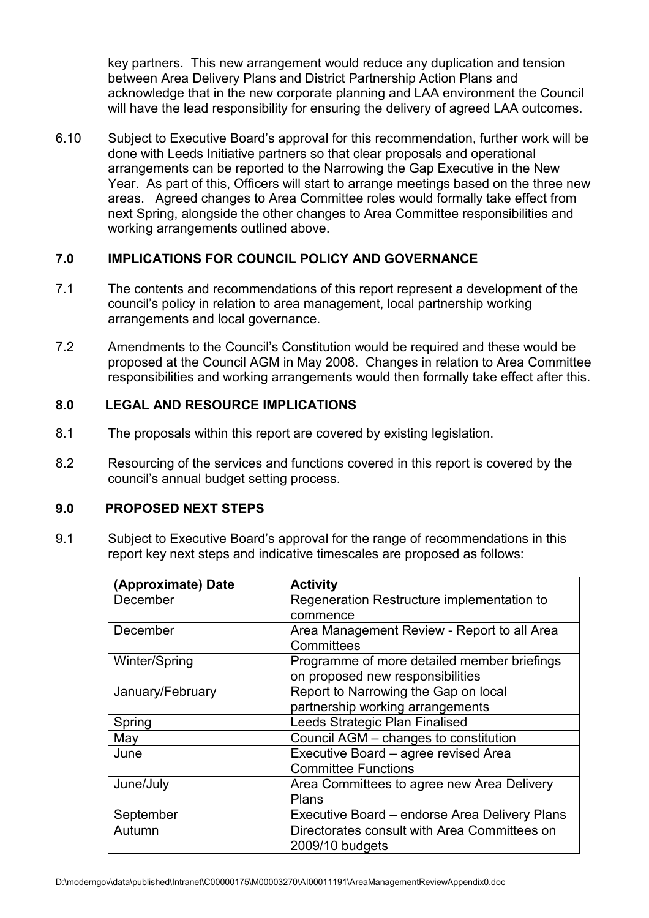key partners. This new arrangement would reduce any duplication and tension between Area Delivery Plans and District Partnership Action Plans and acknowledge that in the new corporate planning and LAA environment the Council will have the lead responsibility for ensuring the delivery of agreed LAA outcomes.

6.10 Subject to Executive Board's approval for this recommendation, further work will be done with Leeds Initiative partners so that clear proposals and operational arrangements can be reported to the Narrowing the Gap Executive in the New Year. As part of this, Officers will start to arrange meetings based on the three new areas. Agreed changes to Area Committee roles would formally take effect from next Spring, alongside the other changes to Area Committee responsibilities and working arrangements outlined above.

## 7.0 IMPLICATIONS FOR COUNCIL POLICY AND GOVERNANCE

- 7.1 The contents and recommendations of this report represent a development of the council's policy in relation to area management, local partnership working arrangements and local governance.
- 7.2 Amendments to the Council's Constitution would be required and these would be proposed at the Council AGM in May 2008. Changes in relation to Area Committee responsibilities and working arrangements would then formally take effect after this.

## 8.0 LEGAL AND RESOURCE IMPLICATIONS

- 8.1 The proposals within this report are covered by existing legislation.
- 8.2 Resourcing of the services and functions covered in this report is covered by the council's annual budget setting process.

#### 9.0 PROPOSED NEXT STEPS

9.1 Subject to Executive Board's approval for the range of recommendations in this report key next steps and indicative timescales are proposed as follows:

| (Approximate) Date | <b>Activity</b>                               |
|--------------------|-----------------------------------------------|
| December           | Regeneration Restructure implementation to    |
|                    | commence                                      |
| December           | Area Management Review - Report to all Area   |
|                    | Committees                                    |
| Winter/Spring      | Programme of more detailed member briefings   |
|                    | on proposed new responsibilities              |
| January/February   | Report to Narrowing the Gap on local          |
|                    | partnership working arrangements              |
| Spring             | Leeds Strategic Plan Finalised                |
| May                | Council AGM - changes to constitution         |
| June               | Executive Board - agree revised Area          |
|                    | <b>Committee Functions</b>                    |
| June/July          | Area Committees to agree new Area Delivery    |
|                    | Plans                                         |
| September          | Executive Board - endorse Area Delivery Plans |
| Autumn             | Directorates consult with Area Committees on  |
|                    | 2009/10 budgets                               |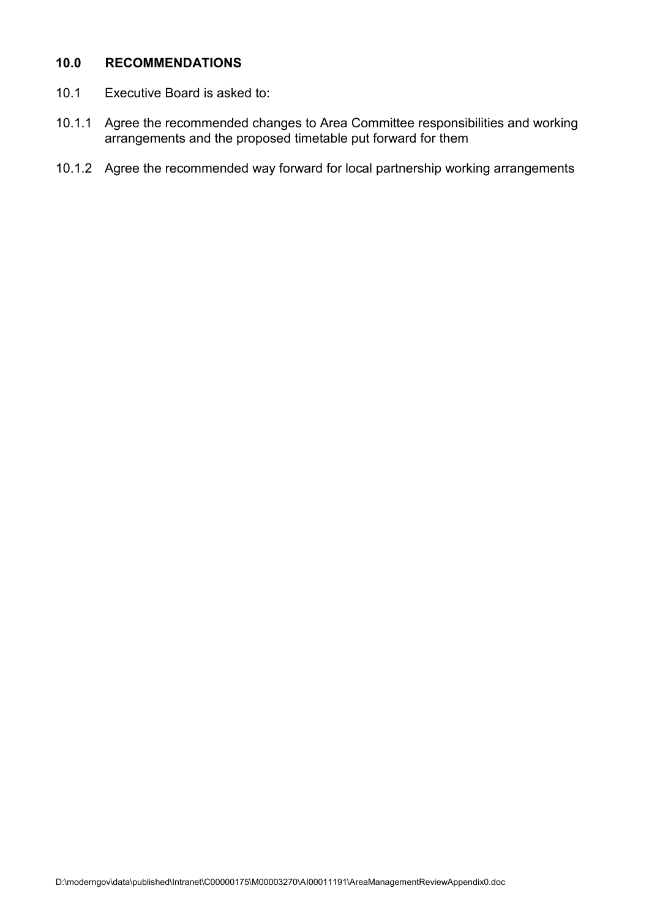#### 10.0 RECOMMENDATIONS

- 10.1 Executive Board is asked to:
- 10.1.1 Agree the recommended changes to Area Committee responsibilities and working arrangements and the proposed timetable put forward for them
- 10.1.2 Agree the recommended way forward for local partnership working arrangements